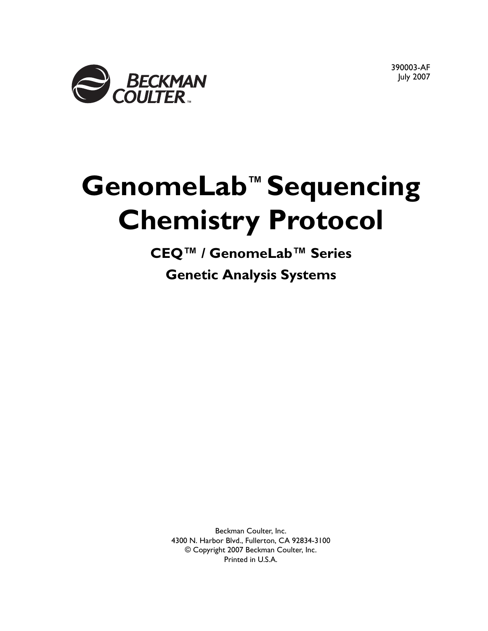

390003-AF July 2007

# **GenomeLab™ Sequencing Chemistry Protocol**

**CEQ™ / GenomeLab™ Series Genetic Analysis Systems**

Beckman Coulter, Inc. 4300 N. Harbor Blvd., Fullerton, CA 92834-3100 © Copyright 2007 Beckman Coulter, Inc. Printed in U.S.A.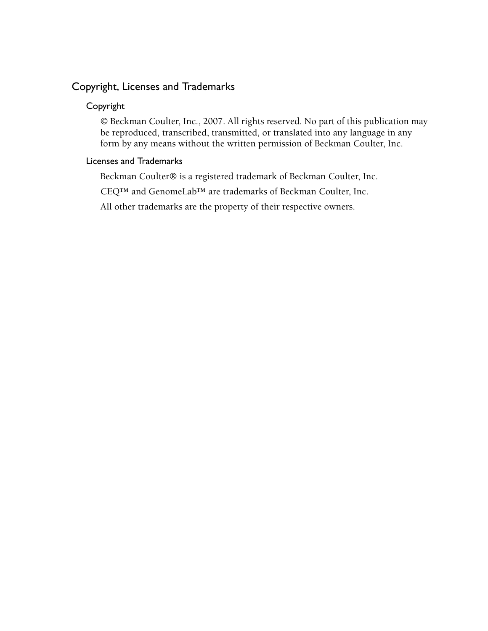#### Copyright, Licenses and Trademarks

#### Copyright

© Beckman Coulter, Inc., 2007. All rights reserved. No part of this publication may be reproduced, transcribed, transmitted, or translated into any language in any form by any means without the written permission of Beckman Coulter, Inc.

#### Licenses and Trademarks

Beckman Coulter® is a registered trademark of Beckman Coulter, Inc.

CEQ™ and GenomeLab™ are trademarks of Beckman Coulter, Inc.

All other trademarks are the property of their respective owners.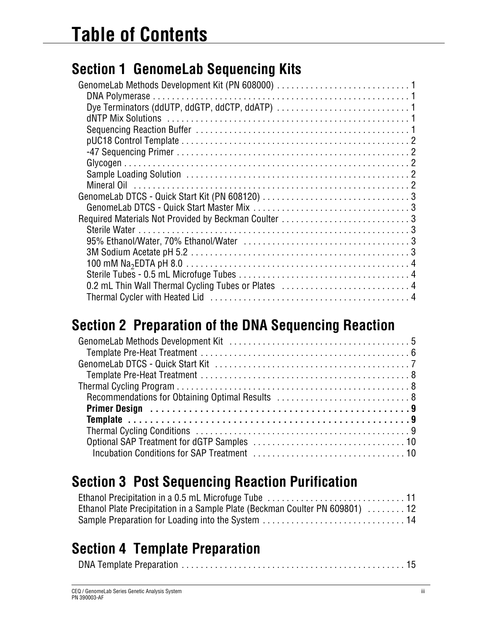## **[Section 1 GenomeLab Sequencing Kits](#page-4-0)**

| 0.2 mL Thin Wall Thermal Cycling Tubes or Plates  4 |  |
|-----------------------------------------------------|--|
|                                                     |  |
|                                                     |  |

### **[Section 2 Preparation of the DNA Sequencing Reaction](#page-8-0)**

### **[Section 3 Post Sequencing Reaction Purification](#page-14-0)**

| Ethanol Plate Precipitation in a Sample Plate (Beckman Coulter PN 609801) 12 |  |
|------------------------------------------------------------------------------|--|
|                                                                              |  |

### **[Section 4 Template Preparation](#page-18-0)**

|--|--|--|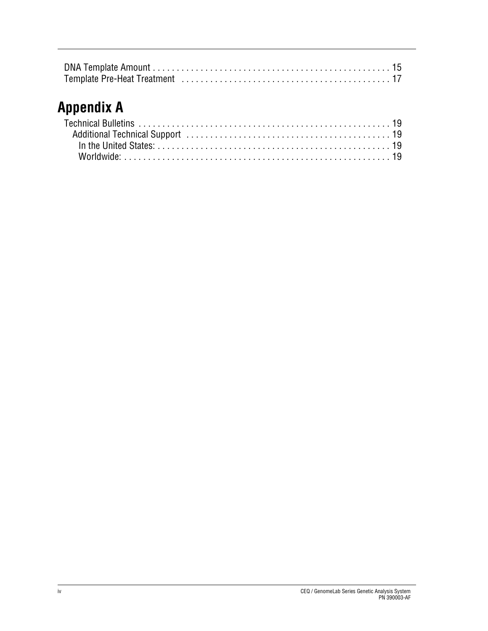### **[Appendix A](#page-22-0)**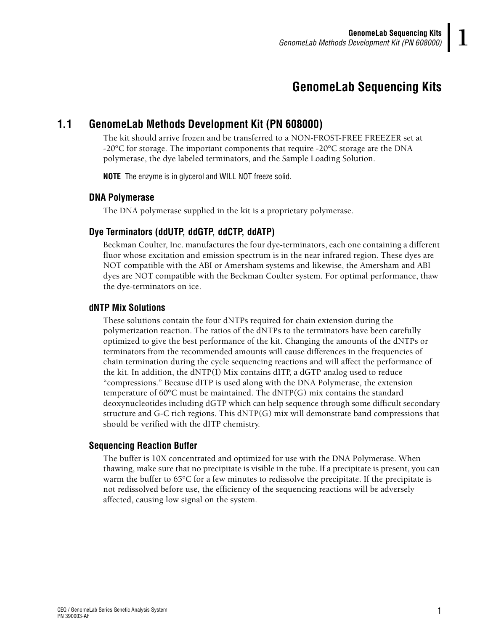### **1GenomeLab Sequencing Kits**

### <span id="page-4-1"></span><span id="page-4-0"></span>**1.1 GenomeLab Methods Development Kit (PN 608000)**

The kit should arrive frozen and be transferred to a NON-FROST-FREE FREEZER set at -20°C for storage. The important components that require -20°C storage are the DNA polymerase, the dye labeled terminators, and the Sample Loading Solution.

**NOTE** The enzyme is in glycerol and WILL NOT freeze solid.

#### <span id="page-4-2"></span>**DNA Polymerase**

The DNA polymerase supplied in the kit is a proprietary polymerase.

#### <span id="page-4-3"></span>**Dye Terminators (ddUTP, ddGTP, ddCTP, ddATP)**

Beckman Coulter, Inc. manufactures the four dye-terminators, each one containing a different fluor whose excitation and emission spectrum is in the near infrared region. These dyes are NOT compatible with the ABI or Amersham systems and likewise, the Amersham and ABI dyes are NOT compatible with the Beckman Coulter system. For optimal performance, thaw the dye-terminators on ice.

#### <span id="page-4-4"></span>**dNTP Mix Solutions**

These solutions contain the four dNTPs required for chain extension during the polymerization reaction. The ratios of the dNTPs to the terminators have been carefully optimized to give the best performance of the kit. Changing the amounts of the dNTPs or terminators from the recommended amounts will cause differences in the frequencies of chain termination during the cycle sequencing reactions and will affect the performance of the kit. In addition, the dNTP(I) Mix contains dITP, a dGTP analog used to reduce "compressions." Because dITP is used along with the DNA Polymerase, the extension temperature of  $60^{\circ}$ C must be maintained. The  $dNTP(G)$  mix contains the standard deoxynucleotides including dGTP which can help sequence through some difficult secondary structure and G-C rich regions. This dNTP(G) mix will demonstrate band compressions that should be verified with the dITP chemistry.

#### <span id="page-4-5"></span>**Sequencing Reaction Buffer**

The buffer is 10X concentrated and optimized for use with the DNA Polymerase. When thawing, make sure that no precipitate is visible in the tube. If a precipitate is present, you can warm the buffer to 65°C for a few minutes to redissolve the precipitate. If the precipitate is not redissolved before use, the efficiency of the sequencing reactions will be adversely affected, causing low signal on the system.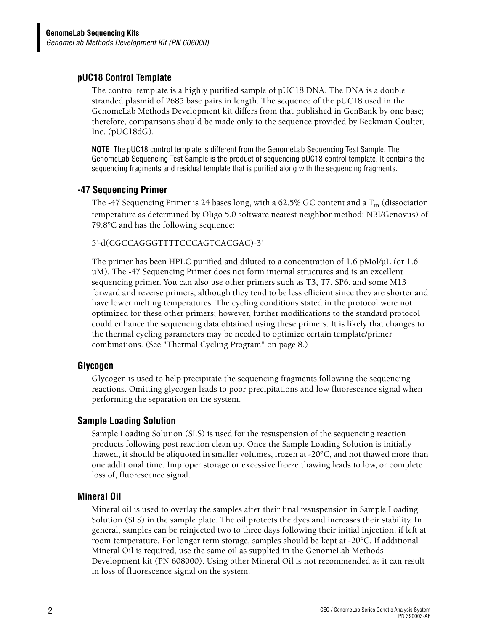#### <span id="page-5-0"></span>**pUC18 Control Template**

The control template is a highly purified sample of pUC18 DNA. The DNA is a double stranded plasmid of 2685 base pairs in length. The sequence of the pUC18 used in the GenomeLab Methods Development kit differs from that published in GenBank by one base; therefore, comparisons should be made only to the sequence provided by Beckman Coulter, Inc. (pUC18dG).

**NOTE** The pUC18 control template is different from the GenomeLab Sequencing Test Sample. The GenomeLab Sequencing Test Sample is the product of sequencing pUC18 control template. It contains the sequencing fragments and residual template that is purified along with the sequencing fragments.

#### <span id="page-5-1"></span>**-47 Sequencing Primer**

The -47 Sequencing Primer is 24 bases long, with a 62.5% GC content and a  $T_m$  (dissociation temperature as determined by Oligo 5.0 software nearest neighbor method: NBI/Genovus) of 79.8°C and has the following sequence:

#### 5'-d(CGCCAGGGTTTTCCCAGTCACGAC)-3'

The primer has been HPLC purified and diluted to a concentration of 1.6 pMol/µL (or 1.6 µM). The -47 Sequencing Primer does not form internal structures and is an excellent sequencing primer. You can also use other primers such as T3, T7, SP6, and some M13 forward and reverse primers, although they tend to be less efficient since they are shorter and have lower melting temperatures. The cycling conditions stated in the protocol were not optimized for these other primers; however, further modifications to the standard protocol could enhance the sequencing data obtained using these primers. It is likely that changes to the thermal cycling parameters may be needed to optimize certain template/primer combinations. (See ["Thermal Cycling Program" on page 8.](#page-11-3))

#### <span id="page-5-2"></span>**Glycogen**

Glycogen is used to help precipitate the sequencing fragments following the sequencing reactions. Omitting glycogen leads to poor precipitations and low fluorescence signal when performing the separation on the system.

#### <span id="page-5-3"></span>**Sample Loading Solution**

Sample Loading Solution (SLS) is used for the resuspension of the sequencing reaction products following post reaction clean up. Once the Sample Loading Solution is initially thawed, it should be aliquoted in smaller volumes, frozen at -20°C, and not thawed more than one additional time. Improper storage or excessive freeze thawing leads to low, or complete loss of, fluorescence signal.

#### <span id="page-5-4"></span>**Mineral Oil**

Mineral oil is used to overlay the samples after their final resuspension in Sample Loading Solution (SLS) in the sample plate. The oil protects the dyes and increases their stability. In general, samples can be reinjected two to three days following their initial injection, if left at room temperature. For longer term storage, samples should be kept at -20°C. If additional Mineral Oil is required, use the same oil as supplied in the GenomeLab Methods Development kit (PN 608000). Using other Mineral Oil is not recommended as it can result in loss of fluorescence signal on the system.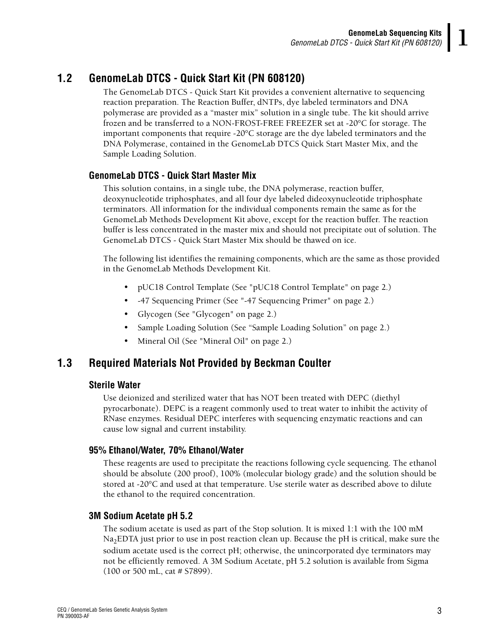#### <span id="page-6-0"></span>**1.2 GenomeLab DTCS - Quick Start Kit (PN 608120)**

The GenomeLab DTCS - Quick Start Kit provides a convenient alternative to sequencing reaction preparation. The Reaction Buffer, dNTPs, dye labeled terminators and DNA polymerase are provided as a "master mix" solution in a single tube. The kit should arrive frozen and be transferred to a NON-FROST-FREE FREEZER set at -20°C for storage. The important components that require -20°C storage are the dye labeled terminators and the DNA Polymerase, contained in the GenomeLab DTCS Quick Start Master Mix, and the Sample Loading Solution.

#### <span id="page-6-1"></span>**GenomeLab DTCS - Quick Start Master Mix**

This solution contains, in a single tube, the DNA polymerase, reaction buffer, deoxynucleotide triphosphates, and all four dye labeled dideoxynucleotide triphosphate terminators. All information for the individual components remain the same as for the GenomeLab Methods Development Kit above, except for the reaction buffer. The reaction buffer is less concentrated in the master mix and should not precipitate out of solution. The GenomeLab DTCS - Quick Start Master Mix should be thawed on ice.

The following list identifies the remaining components, which are the same as those provided in the GenomeLab Methods Development Kit.

- pUC18 Control Template (See ["pUC18 Control Template" on page 2](#page-5-0).)
- -47 Sequencing Primer (See ["-47 Sequencing Primer" on page 2](#page-5-1).)
- Glycogen (See ["Glycogen" on page 2](#page-5-2).)
- Sample Loading Solution (See "Sample Loading Solution" on page 2.)
- Mineral Oil (See ["Mineral Oil" on page 2](#page-5-4).)

#### <span id="page-6-3"></span><span id="page-6-2"></span>**1.3 Required Materials Not Provided by Beckman Coulter**

#### **Sterile Water**

Use deionized and sterilized water that has NOT been treated with DEPC (diethyl pyrocarbonate). DEPC is a reagent commonly used to treat water to inhibit the activity of RNase enzymes. Residual DEPC interferes with sequencing enzymatic reactions and can cause low signal and current instability.

#### <span id="page-6-4"></span>**95% Ethanol/Water, 70% Ethanol/Water**

These reagents are used to precipitate the reactions following cycle sequencing. The ethanol should be absolute (200 proof), 100% (molecular biology grade) and the solution should be stored at -20°C and used at that temperature. Use sterile water as described above to dilute the ethanol to the required concentration.

#### <span id="page-6-5"></span>**3M Sodium Acetate pH 5.2**

The sodium acetate is used as part of the Stop solution. It is mixed 1:1 with the 100 mM  $Na<sub>2</sub>EDTA$  just prior to use in post reaction clean up. Because the pH is critical, make sure the sodium acetate used is the correct pH; otherwise, the unincorporated dye terminators may not be efficiently removed. A 3M Sodium Acetate, pH 5.2 solution is available from Sigma (100 or 500 mL, cat # S7899).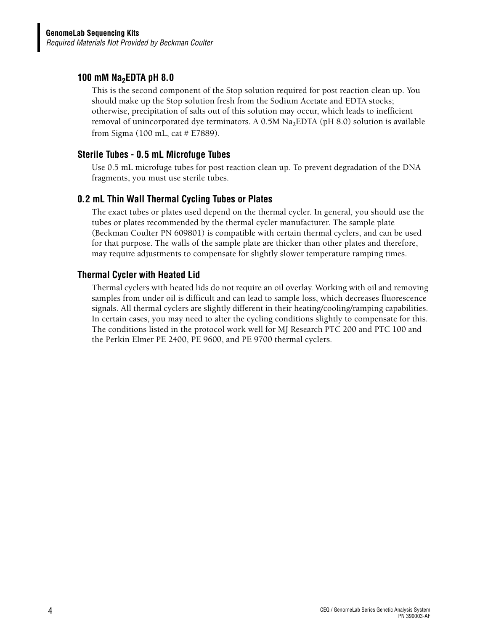#### <span id="page-7-0"></span>**100 mM Na<sub>2</sub>EDTA pH 8.0**

This is the second component of the Stop solution required for post reaction clean up. You should make up the Stop solution fresh from the Sodium Acetate and EDTA stocks; otherwise, precipitation of salts out of this solution may occur, which leads to inefficient removal of unincorporated dye terminators. A  $0.5M$  Na<sub>2</sub>EDTA (pH 8.0) solution is available from Sigma (100 mL, cat # E7889).

#### <span id="page-7-1"></span>**Sterile Tubes - 0.5 mL Microfuge Tubes**

Use 0.5 mL microfuge tubes for post reaction clean up. To prevent degradation of the DNA fragments, you must use sterile tubes.

#### <span id="page-7-2"></span>**0.2 mL Thin Wall Thermal Cycling Tubes or Plates**

The exact tubes or plates used depend on the thermal cycler. In general, you should use the tubes or plates recommended by the thermal cycler manufacturer. The sample plate (Beckman Coulter PN 609801) is compatible with certain thermal cyclers, and can be used for that purpose. The walls of the sample plate are thicker than other plates and therefore, may require adjustments to compensate for slightly slower temperature ramping times.

#### <span id="page-7-3"></span>**Thermal Cycler with Heated Lid**

Thermal cyclers with heated lids do not require an oil overlay. Working with oil and removing samples from under oil is difficult and can lead to sample loss, which decreases fluorescence signals. All thermal cyclers are slightly different in their heating/cooling/ramping capabilities. In certain cases, you may need to alter the cycling conditions slightly to compensate for this. The conditions listed in the protocol work well for MJ Research PTC 200 and PTC 100 and the Perkin Elmer PE 2400, PE 9600, and PE 9700 thermal cyclers.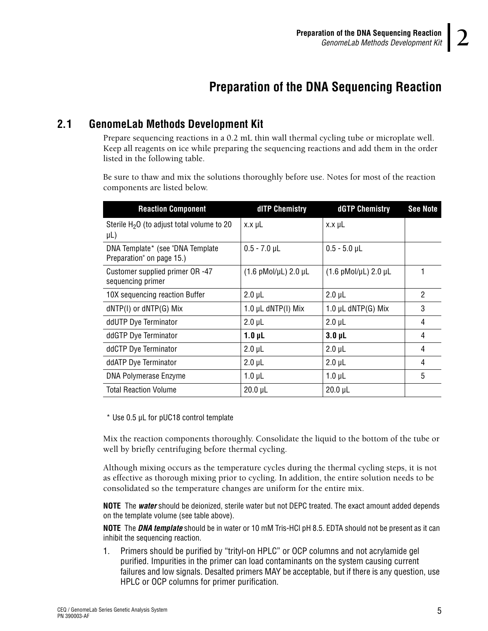### **2Preparation of the DNA Sequencing Reaction**

#### <span id="page-8-1"></span><span id="page-8-0"></span>**2.1 GenomeLab Methods Development Kit**

Prepare sequencing reactions in a 0.2 mL thin wall thermal cycling tube or microplate well. Keep all reagents on ice while preparing the sequencing reactions and add them in the order listed in the following table.

Be sure to thaw and mix the solutions thoroughly before use. Notes for most of the reaction components are listed below.

| <b>Reaction Component</b>                                     | dITP Chemistry                         | dGTP Chemistry                         | <b>See Note</b> |
|---------------------------------------------------------------|----------------------------------------|----------------------------------------|-----------------|
| Sterile H <sub>2</sub> O (to adjust total volume to 20        | $x.x \mu L$                            | $x.x \mu L$                            |                 |
| $\mu$ L)                                                      |                                        |                                        |                 |
| DNA Template* (see "DNA Template<br>Preparation" on page 15.) | $0.5 - 7.0$ µL                         | $0.5 - 5.0$ µL                         |                 |
| Customer supplied primer OR -47<br>sequencing primer          | $(1.6 \text{ pMol/}\mu L)$ 2.0 $\mu L$ | $(1.6 \text{ pMol/}\mu L)$ 2.0 $\mu L$ |                 |
| 10X sequencing reaction Buffer                                | $2.0 \mu L$                            | $2.0 \mu L$                            | 2               |
| dNTP(I) or dNTP(G) Mix                                        | 1.0 $\mu$ L dNTP(I) Mix                | 1.0 $\mu$ L dNTP(G) Mix                | 3               |
| ddUTP Dye Terminator                                          | $2.0 \mu L$                            | $2.0 \mu L$                            | 4               |
| ddGTP Dye Terminator                                          | $1.0 \mu L$                            | $3.0 \mu L$                            | 4               |
| ddCTP Dye Terminator                                          | $2.0 \mu L$                            | $2.0 \mu L$                            | 4               |
| ddATP Dye Terminator                                          | $2.0 \mu L$                            | $2.0 \mu L$                            | 4               |
| DNA Polymerase Enzyme                                         | $1.0 \mu L$                            | $1.0 \mu L$                            | 5               |
| <b>Total Reaction Volume</b>                                  | $20.0$ µL                              | $20.0$ $\mu$ L                         |                 |

\* Use 0.5 µL for pUC18 control template

Mix the reaction components thoroughly. Consolidate the liquid to the bottom of the tube or well by briefly centrifuging before thermal cycling.

Although mixing occurs as the temperature cycles during the thermal cycling steps, it is not as effective as thorough mixing prior to cycling. In addition, the entire solution needs to be consolidated so the temperature changes are uniform for the entire mix.

**NOTE** The *water* should be deionized, sterile water but not DEPC treated. The exact amount added depends on the template volume (see table above).

**NOTE** The *DNA template* should be in water or 10 mM Tris-HCl pH 8.5. EDTA should not be present as it can inhibit the sequencing reaction.

1. Primers should be purified by "trityl-on HPLC" or OCP columns and not acrylamide gel purified. Impurities in the primer can load contaminants on the system causing current failures and low signals. Desalted primers MAY be acceptable, but if there is any question, use HPLC or OCP columns for primer purification.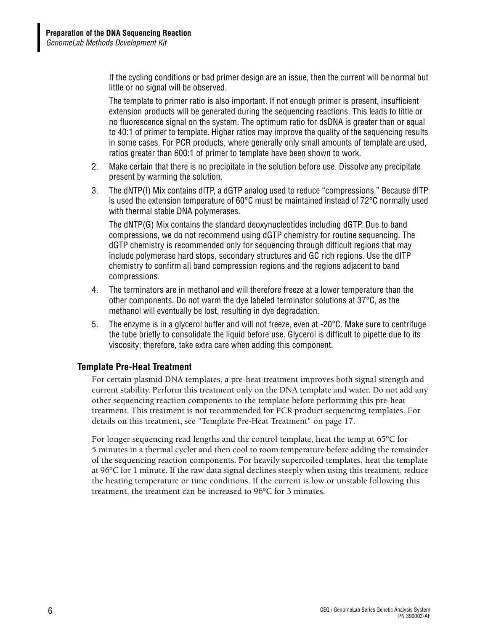If the cycling conditions or bad primer design are an issue, then the current will be normal but little or no signal will be observed.

The template to primer ratio is also important. If not enough primer is present, insufficient extension products will be generated during the sequencing reactions. This leads to little or no fluorescence signal on the system. The optimum ratio for dsDNA is greater than or equal to 40:1 of primer to template. Higher ratios may improve the quality of the sequencing results in some cases. For PCR products, where generally only small amounts of template are used, ratios greater than 600:1 of primer to template have been shown to work.

- 2. Make certain that there is no precipitate in the solution before use. Dissolve any precipitate present by warming the solution.
- 3. The dNTP(I) Mix contains dITP, a dGTP analog used to reduce "compressions." Because dITP is used the extension temperature of 60°C must be maintained instead of 72°C normally used with thermal stable DNA polymerases.

The dNTP(G) Mix contains the standard deoxynucleotides including dGTP. Due to band compressions, we do not recommend using dGTP chemistry for routine sequencing. The dGTP chemistry is recommended only for sequencing through difficult regions that may include polymerase hard stops, secondary structures and GC rich regions. Use the dITP chemistry to confirm all band compression regions and the regions adjacent to band compressions.

- 4. The terminators are in methanol and will therefore freeze at a lower temperature than the other components. Do not warm the dye labeled terminator solutions at 37°C, as the methanol will eventually be lost, resulting in dye degradation.
- 5. The enzyme is in a glycerol buffer and will not freeze, even at -20°C. Make sure to centrifuge the tube briefly to consolidate the liquid before use. Glycerol is difficult to pipette due to its viscosity; therefore, take extra care when adding this component.

#### <span id="page-9-0"></span>**Template Pre-Heat Treatment**

For certain plasmid DNA templates, a pre-heat treatment improves both signal strength and current stability. Perform this treatment only on the DNA template and water. Do not add any other sequencing reaction components to the template before performing this pre-heat treatment. This treatment is not recommended for PCR product sequencing templates. For details on this treatment, see ["Template Pre-Heat Treatment" on page 17](#page-20-1).

For longer sequencing read lengths and the control template, heat the temp at 65°C for 5 minutes in a thermal cycler and then cool to room temperature before adding the remainder of the sequencing reaction components. For heavily supercoiled templates, heat the template at 96°C for 1 minute. If the raw data signal declines steeply when using this treatment, reduce the heating temperature or time conditions. If the current is low or unstable following this treatment, the treatment can be increased to 96°C for 3 minutes.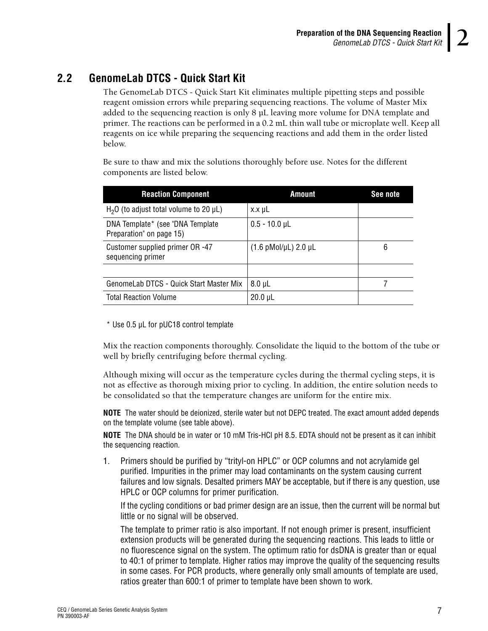#### <span id="page-10-0"></span>**2.2 GenomeLab DTCS - Quick Start Kit**

The GenomeLab DTCS - Quick Start Kit eliminates multiple pipetting steps and possible reagent omission errors while preparing sequencing reactions. The volume of Master Mix added to the sequencing reaction is only 8 µL leaving more volume for DNA template and primer. The reactions can be performed in a 0.2 mL thin wall tube or microplate well. Keep all reagents on ice while preparing the sequencing reactions and add them in the order listed below.

Be sure to thaw and mix the solutions thoroughly before use. Notes for the different components are listed below.

| <b>Reaction Component</b>                                     | <b>Amount</b>                          | See note |
|---------------------------------------------------------------|----------------------------------------|----------|
| $H2O$ (to adjust total volume to 20 µL)                       | $x.x \mu L$                            |          |
| DNA Template* (see "DNA Template"<br>Preparation" on page 15) | $0.5 - 10.0$ µL                        |          |
| Customer supplied primer OR -47<br>sequencing primer          | $(1.6 \text{ pMol/}\mu L)$ 2.0 $\mu L$ | 6        |
|                                                               |                                        |          |
| GenomeLab DTCS - Quick Start Master Mix                       | $8.0 \mu L$                            |          |
| <b>Total Reaction Volume</b>                                  | $20.0 \mu L$                           |          |

\* Use 0.5 µL for pUC18 control template

Mix the reaction components thoroughly. Consolidate the liquid to the bottom of the tube or well by briefly centrifuging before thermal cycling.

Although mixing will occur as the temperature cycles during the thermal cycling steps, it is not as effective as thorough mixing prior to cycling. In addition, the entire solution needs to be consolidated so that the temperature changes are uniform for the entire mix.

**NOTE** The water should be deionized, sterile water but not DEPC treated. The exact amount added depends on the template volume (see table above).

**NOTE** The DNA should be in water or 10 mM Tris-HCl pH 8.5. EDTA should not be present as it can inhibit the sequencing reaction.

1. Primers should be purified by "trityl-on HPLC" or OCP columns and not acrylamide gel purified. Impurities in the primer may load contaminants on the system causing current failures and low signals. Desalted primers MAY be acceptable, but if there is any question, use HPLC or OCP columns for primer purification.

If the cycling conditions or bad primer design are an issue, then the current will be normal but little or no signal will be observed.

The template to primer ratio is also important. If not enough primer is present, insufficient extension products will be generated during the sequencing reactions. This leads to little or no fluorescence signal on the system. The optimum ratio for dsDNA is greater than or equal to 40:1 of primer to template. Higher ratios may improve the quality of the sequencing results in some cases. For PCR products, where generally only small amounts of template are used, ratios greater than 600:1 of primer to template have been shown to work.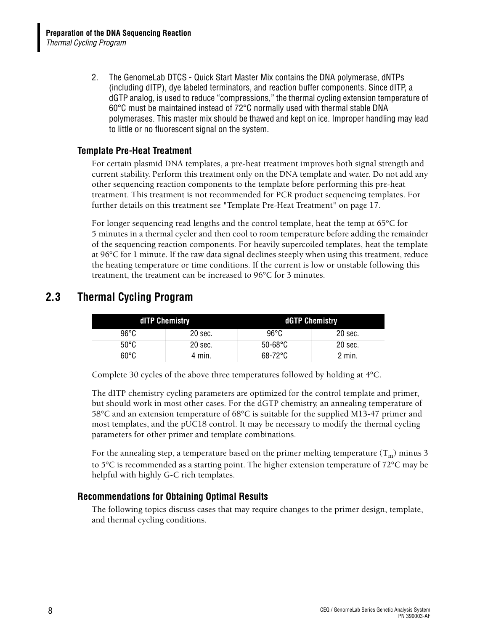2. The GenomeLab DTCS - Quick Start Master Mix contains the DNA polymerase, dNTPs (including dITP), dye labeled terminators, and reaction buffer components. Since dITP, a dGTP analog, is used to reduce "compressions," the thermal cycling extension temperature of 60°C must be maintained instead of 72°C normally used with thermal stable DNA polymerases. This master mix should be thawed and kept on ice. Improper handling may lead to little or no fluorescent signal on the system.

#### <span id="page-11-0"></span>**Template Pre-Heat Treatment**

For certain plasmid DNA templates, a pre-heat treatment improves both signal strength and current stability. Perform this treatment only on the DNA template and water. Do not add any other sequencing reaction components to the template before performing this pre-heat treatment. This treatment is not recommended for PCR product sequencing templates. For further details on this treatment see ["Template Pre-Heat Treatment" on page 17](#page-20-1).

For longer sequencing read lengths and the control template, heat the temp at 65°C for 5 minutes in a thermal cycler and then cool to room temperature before adding the remainder of the sequencing reaction components. For heavily supercoiled templates, heat the template at 96°C for 1 minute. If the raw data signal declines steeply when using this treatment, reduce the heating temperature or time conditions. If the current is low or unstable following this treatment, the treatment can be increased to 96°C for 3 minutes.

|      | dITP Chemistry | dGTP Chemistry    |         |  |  |  |  |  |  |
|------|----------------|-------------------|---------|--|--|--|--|--|--|
| 96°C | 20 sec.        | $96^{\circ}$ C    | 20 sec. |  |  |  |  |  |  |
| 50°C | 20 sec.        | $50 - 68$ °C      | 20 sec. |  |  |  |  |  |  |
| 60°C | 4 min.         | $68-72^{\circ}$ C | 2 min.  |  |  |  |  |  |  |

#### <span id="page-11-3"></span><span id="page-11-1"></span>**2.3 Thermal Cycling Program**

Complete 30 cycles of the above three temperatures followed by holding at 4°C.

The dITP chemistry cycling parameters are optimized for the control template and primer, but should work in most other cases. For the dGTP chemistry, an annealing temperature of 58°C and an extension temperature of 68°C is suitable for the supplied M13-47 primer and most templates, and the pUC18 control. It may be necessary to modify the thermal cycling parameters for other primer and template combinations.

For the annealing step, a temperature based on the primer melting temperature  $(T_m)$  minus 3 to 5°C is recommended as a starting point. The higher extension temperature of 72°C may be helpful with highly G-C rich templates.

#### <span id="page-11-2"></span>**Recommendations for Obtaining Optimal Results**

The following topics discuss cases that may require changes to the primer design, template, and thermal cycling conditions.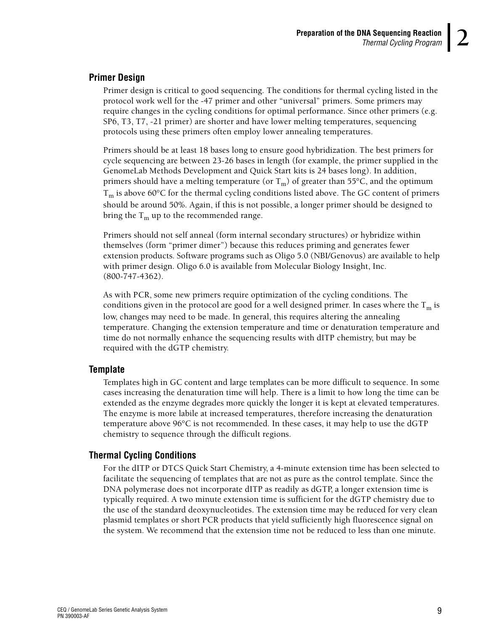#### <span id="page-12-0"></span>**Primer Design**

Primer design is critical to good sequencing. The conditions for thermal cycling listed in the protocol work well for the -47 primer and other "universal" primers. Some primers may require changes in the cycling conditions for optimal performance. Since other primers (e.g. SP6, T3, T7, -21 primer) are shorter and have lower melting temperatures, sequencing protocols using these primers often employ lower annealing temperatures.

Primers should be at least 18 bases long to ensure good hybridization. The best primers for cycle sequencing are between 23-26 bases in length (for example, the primer supplied in the GenomeLab Methods Development and Quick Start kits is 24 bases long). In addition, primers should have a melting temperature (or  $T_m$ ) of greater than 55°C, and the optimum  $T_m$  is above 60 $\degree$ C for the thermal cycling conditions listed above. The GC content of primers should be around 50%. Again, if this is not possible, a longer primer should be designed to bring the  $T_m$  up to the recommended range.

Primers should not self anneal (form internal secondary structures) or hybridize within themselves (form "primer dimer") because this reduces priming and generates fewer extension products. Software programs such as Oligo 5.0 (NBI/Genovus) are available to help with primer design. Oligo 6.0 is available from Molecular Biology Insight, Inc. (800-747-4362).

As with PCR, some new primers require optimization of the cycling conditions. The conditions given in the protocol are good for a well designed primer. In cases where the  $T_m$  is low, changes may need to be made. In general, this requires altering the annealing temperature. Changing the extension temperature and time or denaturation temperature and time do not normally enhance the sequencing results with dITP chemistry, but may be required with the dGTP chemistry.

#### <span id="page-12-1"></span>**Template**

Templates high in GC content and large templates can be more difficult to sequence. In some cases increasing the denaturation time will help. There is a limit to how long the time can be extended as the enzyme degrades more quickly the longer it is kept at elevated temperatures. The enzyme is more labile at increased temperatures, therefore increasing the denaturation temperature above 96°C is not recommended. In these cases, it may help to use the dGTP chemistry to sequence through the difficult regions.

#### <span id="page-12-2"></span>**Thermal Cycling Conditions**

For the dITP or DTCS Quick Start Chemistry, a 4-minute extension time has been selected to facilitate the sequencing of templates that are not as pure as the control template. Since the DNA polymerase does not incorporate dITP as readily as dGTP, a longer extension time is typically required. A two minute extension time is sufficient for the dGTP chemistry due to the use of the standard deoxynucleotides. The extension time may be reduced for very clean plasmid templates or short PCR products that yield sufficiently high fluorescence signal on the system. We recommend that the extension time not be reduced to less than one minute.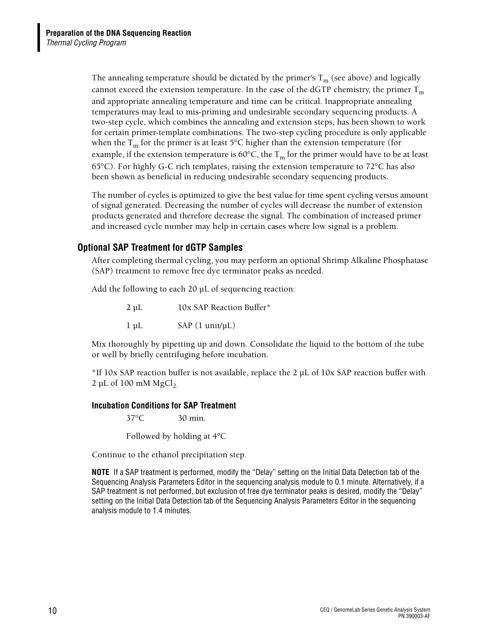The annealing temperature should be dictated by the primer's  $T_m$  (see above) and logically cannot exceed the extension temperature. In the case of the dGTP chemistry, the primer  $T_m$ and appropriate annealing temperature and time can be critical. Inappropriate annealing temperatures may lead to mis-priming and undesirable secondary sequencing products. A two-step cycle, which combines the annealing and extension steps, has been shown to work for certain primer-template combinations. The two-step cycling procedure is only applicable when the  $T_m$  for the primer is at least 5°C higher than the extension temperature (for example, if the extension temperature is 60 $^{\circ}$ C, the T<sub>m</sub> for the primer would have to be at least 65°C). For highly G-C rich templates, raising the extension temperature to 72°C has also been shown as beneficial in reducing undesirable secondary sequencing products.

The number of cycles is optimized to give the best value for time spent cycling versus amount of signal generated. Decreasing the number of cycles will decrease the number of extension products generated and therefore decrease the signal. The combination of increased primer and increased cycle number may help in certain cases where low signal is a problem.

#### <span id="page-13-0"></span>**Optional SAP Treatment for dGTP Samples**

After completing thermal cycling, you may perform an optional Shrimp Alkaline Phosphatase (SAP) treatment to remove free dye terminator peaks as needed.

Add the following to each 20 µL of sequencing reaction:

| $2 \mu L$ | 10x SAP Reaction Buffer*   |
|-----------|----------------------------|
| $1 \mu L$ | $SAP(1 \text{unit/}\mu L)$ |

Mix thoroughly by pipetting up and down. Consolidate the liquid to the bottom of the tube or well by briefly centrifuging before incubation.

\*If 10x SAP reaction buffer is not available, replace the 2 µL of 10x SAP reaction buffer with  $2 \mu L$  of 100 mM MgCl<sub>2</sub>.

#### <span id="page-13-1"></span>**Incubation Conditions for SAP Treatment**

37°C 30 min.

Followed by holding at 4°C

Continue to the ethanol precipitation step.

**NOTE** If a SAP treatment is performed, modify the "Delay" setting on the Initial Data Detection tab of the Sequencing Analysis Parameters Editor in the sequencing analysis module to 0.1 minute. Alternatively, if a SAP treatment is not performed, but exclusion of free dye terminator peaks is desired, modify the "Delay" setting on the Initial Data Detection tab of the Sequencing Analysis Parameters Editor in the sequencing analysis module to 1.4 minutes.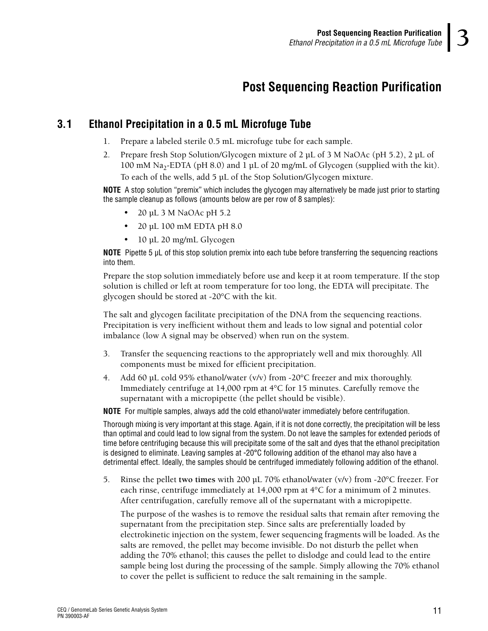### **3Post Sequencing Reaction Purification**

#### <span id="page-14-1"></span><span id="page-14-0"></span>**3.1 Ethanol Precipitation in a 0.5 mL Microfuge Tube**

- 1. Prepare a labeled sterile 0.5 mL microfuge tube for each sample.
- 2. Prepare fresh Stop Solution/Glycogen mixture of 2 µL of 3 M NaOAc (pH 5.2), 2 µL of 100 mM Na<sub>2</sub>-EDTA (pH 8.0) and 1 µL of 20 mg/mL of Glycogen (supplied with the kit). To each of the wells, add 5 µL of the Stop Solution/Glycogen mixture.

**NOTE** A stop solution "premix" which includes the glycogen may alternatively be made just prior to starting the sample cleanup as follows (amounts below are per row of 8 samples):

- 20 µL 3 M NaOAc pH 5.2
- $\cdot$  20 µL 100 mM EDTA pH 8.0
- $\cdot$  10 µL 20 mg/mL Glycogen

**NOTE** Pipette 5 µL of this stop solution premix into each tube before transferring the sequencing reactions into them.

Prepare the stop solution immediately before use and keep it at room temperature. If the stop solution is chilled or left at room temperature for too long, the EDTA will precipitate. The glycogen should be stored at -20°C with the kit.

The salt and glycogen facilitate precipitation of the DNA from the sequencing reactions. Precipitation is very inefficient without them and leads to low signal and potential color imbalance (low A signal may be observed) when run on the system.

- 3. Transfer the sequencing reactions to the appropriately well and mix thoroughly. All components must be mixed for efficient precipitation.
- 4. Add 60 µL cold 95% ethanol/water (v/v) from -20 $\degree$ C freezer and mix thoroughly. Immediately centrifuge at 14,000 rpm at 4°C for 15 minutes. Carefully remove the supernatant with a micropipette (the pellet should be visible).

**NOTE** For multiple samples, always add the cold ethanol/water immediately before centrifugation.

Thorough mixing is very important at this stage. Again, if it is not done correctly, the precipitation will be less than optimal and could lead to low signal from the system. Do not leave the samples for extended periods of time before centrifuging because this will precipitate some of the salt and dyes that the ethanol precipitation is designed to eliminate. Leaving samples at -20°C following addition of the ethanol may also have a detrimental effect. Ideally, the samples should be centrifuged immediately following addition of the ethanol.

5. Rinse the pellet **two times** with 200 µL 70% ethanol/water (v/v) from -20°C freezer. For each rinse, centrifuge immediately at 14,000 rpm at  $4^{\circ}$ C for a minimum of 2 minutes. After centrifugation, carefully remove all of the supernatant with a micropipette.

The purpose of the washes is to remove the residual salts that remain after removing the supernatant from the precipitation step. Since salts are preferentially loaded by electrokinetic injection on the system, fewer sequencing fragments will be loaded. As the salts are removed, the pellet may become invisible. Do not disturb the pellet when adding the 70% ethanol; this causes the pellet to dislodge and could lead to the entire sample being lost during the processing of the sample. Simply allowing the 70% ethanol to cover the pellet is sufficient to reduce the salt remaining in the sample.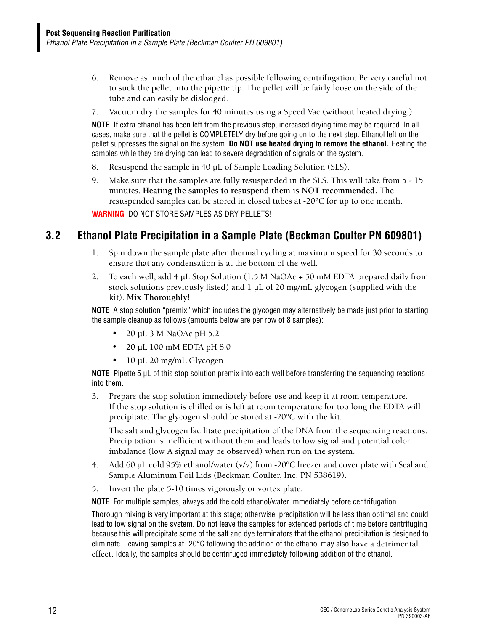- 6. Remove as much of the ethanol as possible following centrifugation. Be very careful not to suck the pellet into the pipette tip. The pellet will be fairly loose on the side of the tube and can easily be dislodged.
- 7. Vacuum dry the samples for 40 minutes using a Speed Vac (without heated drying.)

**NOTE** If extra ethanol has been left from the previous step, increased drying time may be required. In all cases, make sure that the pellet is COMPLETELY dry before going on to the next step. Ethanol left on the pellet suppresses the signal on the system. **Do NOT use heated drying to remove the ethanol.** Heating the samples while they are drying can lead to severe degradation of signals on the system.

- 8. Resuspend the sample in 40 µL of Sample Loading Solution (SLS).
- 9. Make sure that the samples are fully resuspended in the SLS. This will take from 5 15 minutes. **Heating the samples to resuspend them is NOT recommended.** The resuspended samples can be stored in closed tubes at -20°C for up to one month.

**WARNING** DO NOT STORE SAMPLES AS DRY PELLETS!

#### <span id="page-15-0"></span>**3.2 Ethanol Plate Precipitation in a Sample Plate (Beckman Coulter PN 609801)**

- 1. Spin down the sample plate after thermal cycling at maximum speed for 30 seconds to ensure that any condensation is at the bottom of the well.
- 2. To each well, add 4 µL Stop Solution (1.5 M NaOAc + 50 mM EDTA prepared daily from stock solutions previously listed) and  $1 \mu$ L of 20 mg/mL glycogen (supplied with the kit). **Mix Thoroughly!**

**NOTE** A stop solution "premix" which includes the glycogen may alternatively be made just prior to starting the sample cleanup as follows (amounts below are per row of 8 samples):

- 20 µL 3 M NaOAc pH  $5.2$
- $\cdot$  20 uL 100 mM EDTA pH 8.0
- $\cdot$  10 µL 20 mg/mL Glycogen

**NOTE** Pipette 5 µL of this stop solution premix into each well before transferring the sequencing reactions into them.

3. Prepare the stop solution immediately before use and keep it at room temperature. If the stop solution is chilled or is left at room temperature for too long the EDTA will precipitate. The glycogen should be stored at -20°C with the kit.

The salt and glycogen facilitate precipitation of the DNA from the sequencing reactions. Precipitation is inefficient without them and leads to low signal and potential color imbalance (low A signal may be observed) when run on the system.

- 4. Add 60 µL cold 95% ethanol/water (v/v) from -20°C freezer and cover plate with Seal and Sample Aluminum Foil Lids (Beckman Coulter, Inc. PN 538619).
- 5. Invert the plate 5-10 times vigorously or vortex plate.

**NOTE** For multiple samples, always add the cold ethanol/water immediately before centrifugation.

Thorough mixing is very important at this stage; otherwise, precipitation will be less than optimal and could lead to low signal on the system. Do not leave the samples for extended periods of time before centrifuging because this will precipitate some of the salt and dye terminators that the ethanol precipitation is designed to eliminate. Leaving samples at -20°C following the addition of the ethanol may also have a detrimental effect. Ideally, the samples should be centrifuged immediately following addition of the ethanol.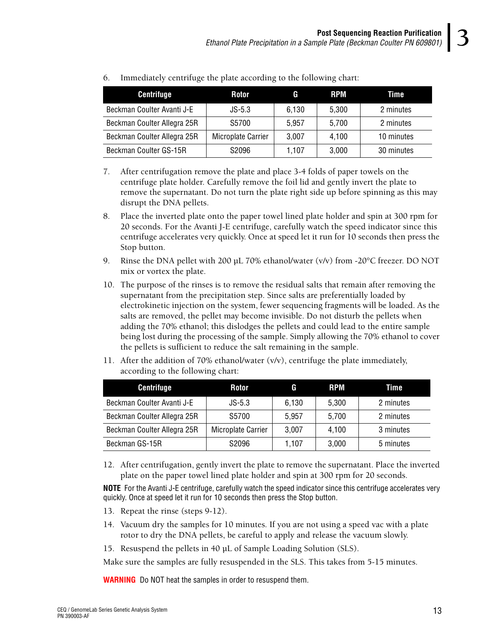| <b>Centrifuge</b>           | <b>Rotor</b>       | G     | <b>RPM</b> | Time       |
|-----------------------------|--------------------|-------|------------|------------|
| Beckman Coulter Avanti J-E  | $JS-5.3$           | 6,130 | 5,300      | 2 minutes  |
| Beckman Coulter Allegra 25R | S5700              | 5,957 | 5,700      | 2 minutes  |
| Beckman Coulter Allegra 25R | Microplate Carrier | 3,007 | 4,100      | 10 minutes |
| Beckman Coulter GS-15R      | S <sub>2096</sub>  | 1,107 | 3,000      | 30 minutes |

6. Immediately centrifuge the plate according to the following chart:

- 7. After centrifugation remove the plate and place 3-4 folds of paper towels on the centrifuge plate holder. Carefully remove the foil lid and gently invert the plate to remove the supernatant. Do not turn the plate right side up before spinning as this may disrupt the DNA pellets.
- 8. Place the inverted plate onto the paper towel lined plate holder and spin at 300 rpm for 20 seconds. For the Avanti J-E centrifuge, carefully watch the speed indicator since this centrifuge accelerates very quickly. Once at speed let it run for 10 seconds then press the Stop button.
- 9. Rinse the DNA pellet with 200  $\mu$ L 70% ethanol/water (v/v) from -20 $\degree$ C freezer. DO NOT mix or vortex the plate.
- 10. The purpose of the rinses is to remove the residual salts that remain after removing the supernatant from the precipitation step. Since salts are preferentially loaded by electrokinetic injection on the system, fewer sequencing fragments will be loaded. As the salts are removed, the pellet may become invisible. Do not disturb the pellets when adding the 70% ethanol; this dislodges the pellets and could lead to the entire sample being lost during the processing of the sample. Simply allowing the 70% ethanol to cover the pellets is sufficient to reduce the salt remaining in the sample.
- 11. After the addition of 70% ethanol/water (v/v), centrifuge the plate immediately, according to the following chart:

| <b>Centrifuge</b>           | Rotor              | G     | <b>RPM</b> | Time      |
|-----------------------------|--------------------|-------|------------|-----------|
| Beckman Coulter Avanti J-E  | $JS-5.3$           | 6,130 | 5,300      | 2 minutes |
| Beckman Coulter Allegra 25R | S5700              | 5,957 | 5,700      | 2 minutes |
| Beckman Coulter Allegra 25R | Microplate Carrier | 3,007 | 4,100      | 3 minutes |
| Beckman GS-15R              | S2096              | 1.107 | 3,000      | 5 minutes |

12. After centrifugation, gently invert the plate to remove the supernatant. Place the inverted plate on the paper towel lined plate holder and spin at 300 rpm for 20 seconds.

**NOTE** For the Avanti J-E centrifuge, carefully watch the speed indicator since this centrifuge accelerates very quickly. Once at speed let it run for 10 seconds then press the Stop button.

- 13. Repeat the rinse (steps 9-12).
- 14. Vacuum dry the samples for 10 minutes. If you are not using a speed vac with a plate rotor to dry the DNA pellets, be careful to apply and release the vacuum slowly.
- 15. Resuspend the pellets in 40 µL of Sample Loading Solution (SLS).

Make sure the samples are fully resuspended in the SLS. This takes from 5-15 minutes.

**WARNING** Do NOT heat the samples in order to resuspend them.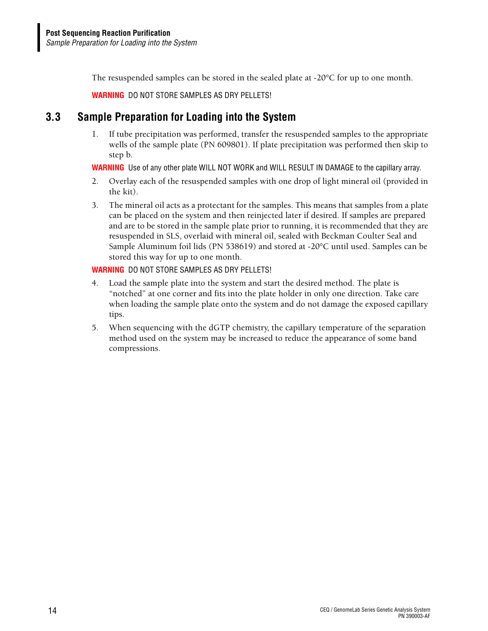The resuspended samples can be stored in the sealed plate at -20 $\degree$ C for up to one month.

**WARNING** DO NOT STORE SAMPLES AS DRY PELLETS!

#### <span id="page-17-0"></span>**3.3 Sample Preparation for Loading into the System**

1. If tube precipitation was performed, transfer the resuspended samples to the appropriate wells of the sample plate (PN 609801). If plate precipitation was performed then skip to step b.

**WARNING** Use of any other plate WILL NOT WORK and WILL RESULT IN DAMAGE to the capillary array.

- 2. Overlay each of the resuspended samples with one drop of light mineral oil (provided in the kit).
- 3. The mineral oil acts as a protectant for the samples. This means that samples from a plate can be placed on the system and then reinjected later if desired. If samples are prepared and are to be stored in the sample plate prior to running, it is recommended that they are resuspended in SLS, overlaid with mineral oil, sealed with Beckman Coulter Seal and Sample Aluminum foil lids (PN 538619) and stored at -20°C until used. Samples can be stored this way for up to one month.

#### **WARNING** DO NOT STORE SAMPLES AS DRY PELLETS!

- 4. Load the sample plate into the system and start the desired method. The plate is "notched" at one corner and fits into the plate holder in only one direction. Take care when loading the sample plate onto the system and do not damage the exposed capillary tips.
- 5. When sequencing with the dGTP chemistry, the capillary temperature of the separation method used on the system may be increased to reduce the appearance of some band compressions.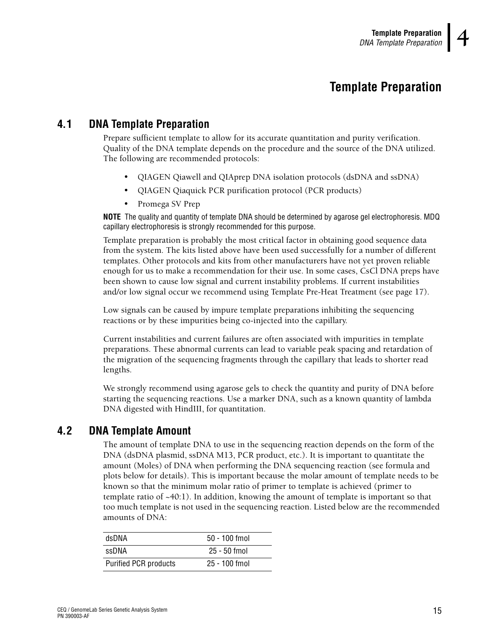### **4Template Preparation**

#### <span id="page-18-1"></span><span id="page-18-0"></span>**4.1 DNA Template Preparation**

<span id="page-18-3"></span>Prepare sufficient template to allow for its accurate quantitation and purity verification. Quality of the DNA template depends on the procedure and the source of the DNA utilized. The following are recommended protocols:

- r QIAGEN Qiawell and QIAprep DNA isolation protocols (dsDNA and ssDNA)
- QIAGEN Qiaquick PCR purification protocol (PCR products)
- Promega SV Prep

**NOTE** The quality and quantity of template DNA should be determined by agarose gel electrophoresis. MDQ capillary electrophoresis is strongly recommended for this purpose.

Template preparation is probably the most critical factor in obtaining good sequence data from the system. The kits listed above have been used successfully for a number of different templates. Other protocols and kits from other manufacturers have not yet proven reliable enough for us to make a recommendation for their use. In some cases, CsCl DNA preps have been shown to cause low signal and current instability problems. If current instabilities and/or low signal occur we recommend using Template Pre-Heat Treatment (see [page 17\)](#page-20-0).

Low signals can be caused by impure template preparations inhibiting the sequencing reactions or by these impurities being co-injected into the capillary.

Current instabilities and current failures are often associated with impurities in template preparations. These abnormal currents can lead to variable peak spacing and retardation of the migration of the sequencing fragments through the capillary that leads to shorter read lengths.

We strongly recommend using agarose gels to check the quantity and purity of DNA before starting the sequencing reactions. Use a marker DNA, such as a known quantity of lambda DNA digested with HindIII, for quantitation.

#### <span id="page-18-2"></span>**4.2 DNA Template Amount**

The amount of template DNA to use in the sequencing reaction depends on the form of the DNA (dsDNA plasmid, ssDNA M13, PCR product, etc.). It is important to quantitate the amount (Moles) of DNA when performing the DNA sequencing reaction (see formula and plots below for details). This is important because the molar amount of template needs to be known so that the minimum molar ratio of primer to template is achieved (primer to template ratio of  $~40:1$ ). In addition, knowing the amount of template is important so that too much template is not used in the sequencing reaction. Listed below are the recommended amounts of DNA:

| dsDNA                        | $50 - 100$ fmol |  |
|------------------------------|-----------------|--|
| ssDNA                        | $25 - 50$ fmol  |  |
| <b>Purified PCR products</b> | 25 - 100 fmol   |  |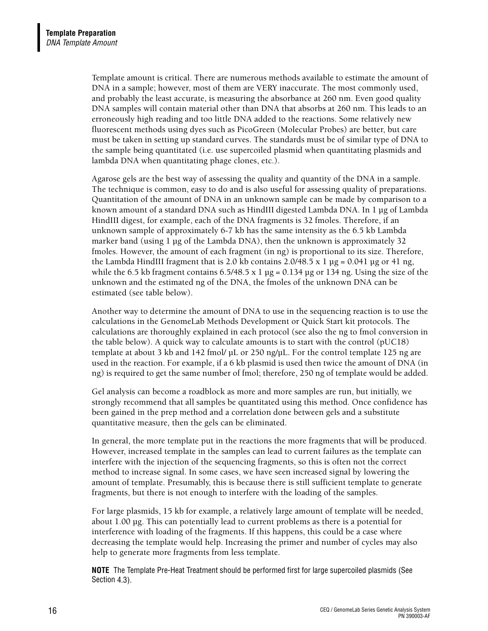Template amount is critical. There are numerous methods available to estimate the amount of DNA in a sample; however, most of them are VERY inaccurate. The most commonly used, and probably the least accurate, is measuring the absorbance at 260 nm. Even good quality DNA samples will contain material other than DNA that absorbs at 260 nm. This leads to an erroneously high reading and too little DNA added to the reactions. Some relatively new fluorescent methods using dyes such as PicoGreen (Molecular Probes) are better, but care must be taken in setting up standard curves. The standards must be of similar type of DNA to the sample being quantitated (i.e. use supercoiled plasmid when quantitating plasmids and lambda DNA when quantitating phage clones, etc.).

Agarose gels are the best way of assessing the quality and quantity of the DNA in a sample. The technique is common, easy to do and is also useful for assessing quality of preparations. Quantitation of the amount of DNA in an unknown sample can be made by comparison to a known amount of a standard DNA such as HindIII digested Lambda DNA. In 1 µg of Lambda HindIII digest, for example, each of the DNA fragments is 32 fmoles. Therefore, if an unknown sample of approximately 6-7 kb has the same intensity as the 6.5 kb Lambda marker band (using 1 µg of the Lambda DNA), then the unknown is approximately 32 fmoles. However, the amount of each fragment (in ng) is proportional to its size. Therefore, the Lambda HindIII fragment that is 2.0 kb contains  $2.0/48.5 \times 1 \text{ µg} = 0.041 \text{ µg}$  or 41 ng, while the 6.5 kb fragment contains 6.5/48.5 x 1  $\mu$ g = 0.134  $\mu$ g or 134 ng. Using the size of the unknown and the estimated ng of the DNA, the fmoles of the unknown DNA can be estimated (see table below).

Another way to determine the amount of DNA to use in the sequencing reaction is to use the calculations in the GenomeLab Methods Development or Quick Start kit protocols. The calculations are thoroughly explained in each protocol (see also the ng to fmol conversion in the table below). A quick way to calculate amounts is to start with the control (pUC18) template at about 3 kb and 142 fmol/ µL or 250 ng/µL. For the control template 125 ng are used in the reaction. For example, if a 6 kb plasmid is used then twice the amount of DNA (in ng) is required to get the same number of fmol; therefore, 250 ng of template would be added.

Gel analysis can become a roadblock as more and more samples are run, but initially, we strongly recommend that all samples be quantitated using this method. Once confidence has been gained in the prep method and a correlation done between gels and a substitute quantitative measure, then the gels can be eliminated.

In general, the more template put in the reactions the more fragments that will be produced. However, increased template in the samples can lead to current failures as the template can interfere with the injection of the sequencing fragments, so this is often not the correct method to increase signal. In some cases, we have seen increased signal by lowering the amount of template. Presumably, this is because there is still sufficient template to generate fragments, but there is not enough to interfere with the loading of the samples.

For large plasmids, 15 kb for example, a relatively large amount of template will be needed, about 1.00 µg. This can potentially lead to current problems as there is a potential for interference with loading of the fragments. If this happens, this could be a case where decreasing the template would help. Increasing the primer and number of cycles may also help to generate more fragments from less template.

**NOTE** The Template Pre-Heat Treatment should be performed first for large supercoiled plasmids (See Section [4.3\)](#page-20-0).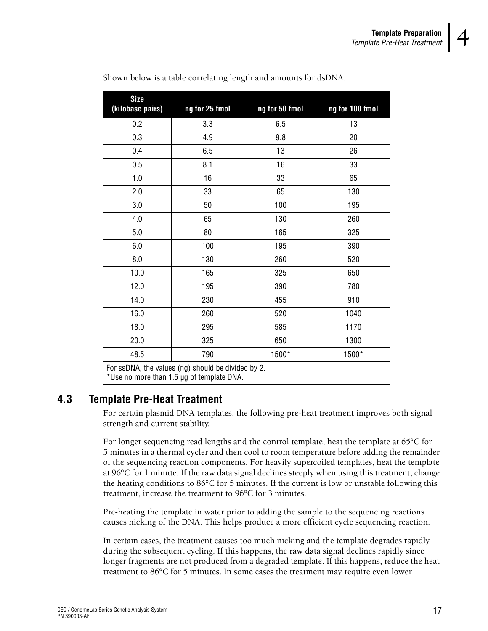| <b>Size</b><br>(kilobase pairs) | ng for 25 fmol | ng for 50 fmol | ng for 100 fmol |
|---------------------------------|----------------|----------------|-----------------|
| 0.2                             | 3.3            | 6.5            | 13              |
| 0.3                             | 4.9            | 9.8            | 20              |
| 0.4                             | 6.5            | 13             | 26              |
| 0.5                             | 8.1            | 16             | 33              |
| 1.0                             | 16             | 33             | 65              |
| 2.0                             | 33             | 65             | 130             |
| 3.0                             | 50             | 100            | 195             |
| 4.0                             | 65             | 130            | 260             |
| 5.0                             | 80             | 165            | 325             |
| 6.0                             | 100            | 195            | 390             |
| 8.0                             | 130            | 260            | 520             |
| 10.0                            | 165            | 325            | 650             |
| 12.0                            | 195            | 390            | 780             |
| 14.0                            | 230            | 455            | 910             |
| 16.0                            | 260            | 520            | 1040            |
| 18.0                            | 295            | 585            | 1170            |
| 20.0                            | 325            | 650            | 1300            |
| 48.5                            | 790            | 1500*          | 1500*           |

Shown below is a table correlating length and amounts for dsDNA.

<span id="page-20-1"></span>For ssDNA, the values (ng) should be divided by 2. \*Use no more than 1.5 µg of template DNA.

#### <span id="page-20-0"></span>**4.3 Template Pre-Heat Treatment**

For certain plasmid DNA templates, the following pre-heat treatment improves both signal strength and current stability.

For longer sequencing read lengths and the control template, heat the template at 65°C for 5 minutes in a thermal cycler and then cool to room temperature before adding the remainder of the sequencing reaction components. For heavily supercoiled templates, heat the template at 96°C for 1 minute. If the raw data signal declines steeply when using this treatment, change the heating conditions to 86°C for 5 minutes. If the current is low or unstable following this treatment, increase the treatment to 96°C for 3 minutes.

Pre-heating the template in water prior to adding the sample to the sequencing reactions causes nicking of the DNA. This helps produce a more efficient cycle sequencing reaction.

In certain cases, the treatment causes too much nicking and the template degrades rapidly during the subsequent cycling. If this happens, the raw data signal declines rapidly since longer fragments are not produced from a degraded template. If this happens, reduce the heat treatment to 86°C for 5 minutes. In some cases the treatment may require even lower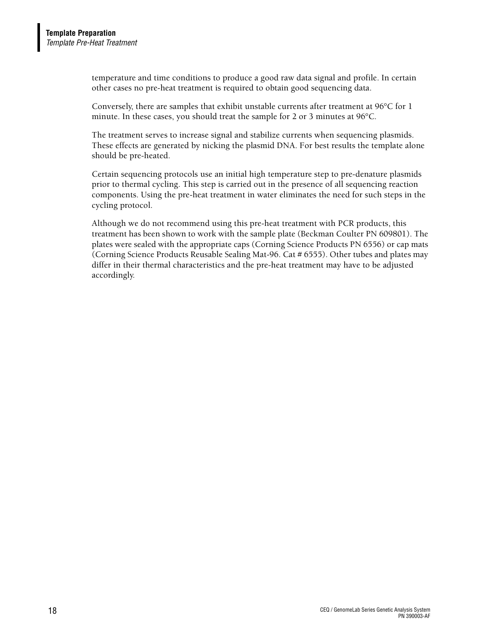temperature and time conditions to produce a good raw data signal and profile. In certain other cases no pre-heat treatment is required to obtain good sequencing data.

Conversely, there are samples that exhibit unstable currents after treatment at 96°C for 1 minute. In these cases, you should treat the sample for 2 or 3 minutes at 96°C.

The treatment serves to increase signal and stabilize currents when sequencing plasmids. These effects are generated by nicking the plasmid DNA. For best results the template alone should be pre-heated.

Certain sequencing protocols use an initial high temperature step to pre-denature plasmids prior to thermal cycling. This step is carried out in the presence of all sequencing reaction components. Using the pre-heat treatment in water eliminates the need for such steps in the cycling protocol.

Although we do not recommend using this pre-heat treatment with PCR products, this treatment has been shown to work with the sample plate (Beckman Coulter PN 609801). The plates were sealed with the appropriate caps (Corning Science Products PN 6556) or cap mats (Corning Science Products Reusable Sealing Mat-96. Cat # 6555). Other tubes and plates may differ in their thermal characteristics and the pre-heat treatment may have to be adjusted accordingly.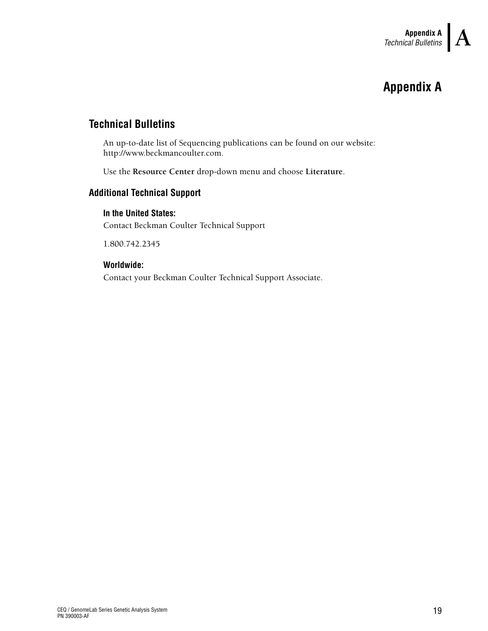### **AAppendix A**

#### <span id="page-22-1"></span><span id="page-22-0"></span>**Technical Bulletins**

An up-to-date list of Sequencing publications can be found on our website: http://www.beckmancoulter.com.

Use the **Resource Center** drop-down menu and choose **Literature**.

#### <span id="page-22-2"></span>**Additional Technical Support**

#### <span id="page-22-3"></span>**In the United States:**

Contact Beckman Coulter Technical Support

1.800.742.2345

#### <span id="page-22-4"></span>**Worldwide:**

Contact your Beckman Coulter Technical Support Associate.